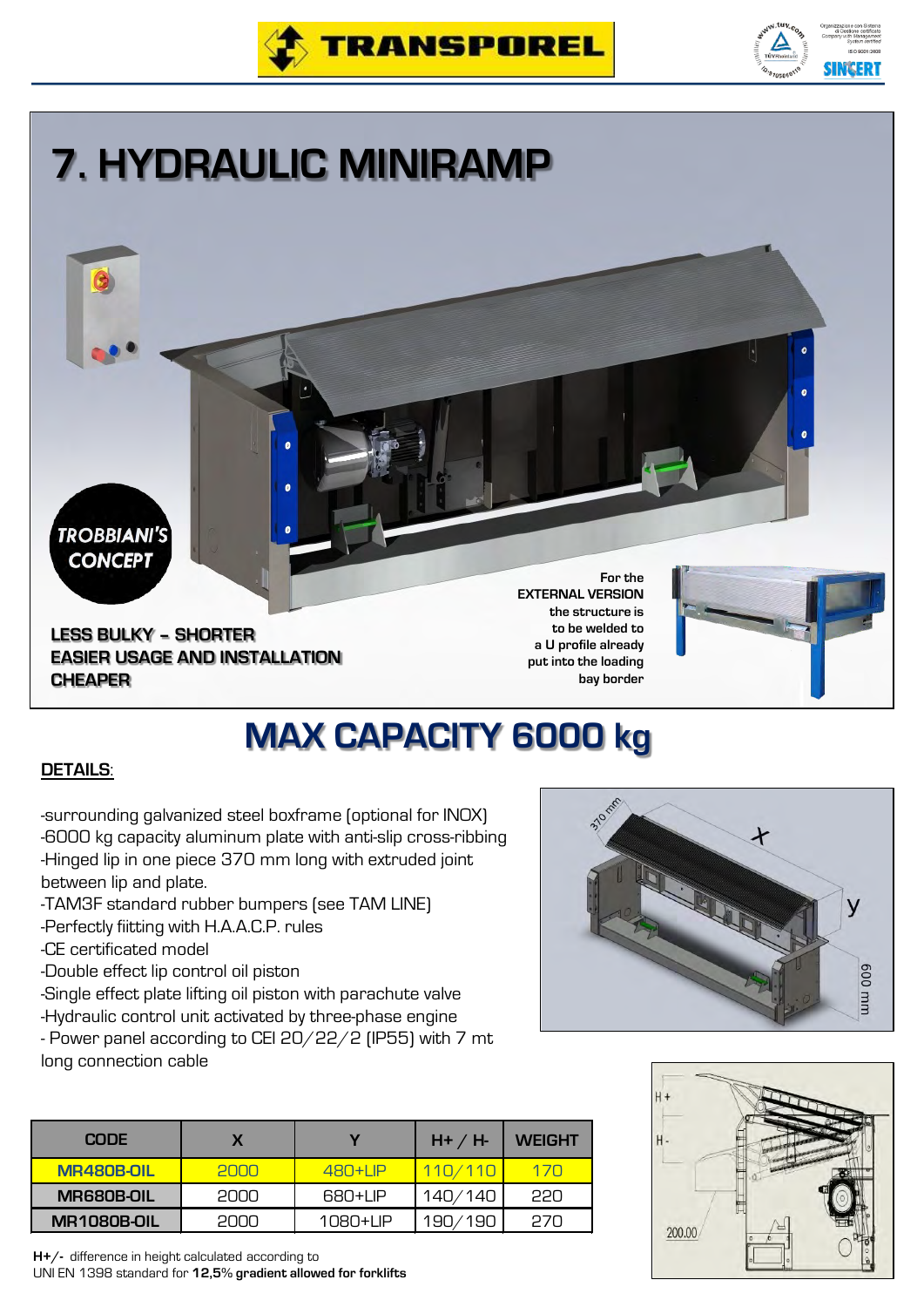



## **7. HYDRAULIC MINIRAMP**

**TROBBIANI'S CONCEPT** 

**LESS BULKY – SHORTER EASIER USAGE AND INSTALLATION CHEAPER**

**For the EXTERNAL VERSION the structure is to be welded to a U profile already put into the loading bay border**



## **MAX CAPACITY 6000 kg**

## **DETAILS**:

-surrounding galvanized steel boxframe (optional for INOX) -6000 kg capacity aluminum plate with anti-slip cross-ribbing -Hinged lip in one piece 370 mm long with extruded joint between lip and plate.

- -TAM3F standard rubber bumpers (see TAM LINE)
- -Perfectly fiitting with H.A.A.C.P. rules

-CE certificated model

- -Double effect lip control oil piston
- -Single effect plate lifting oil piston with parachute valve
- -Hydraulic control unit activated by three-phase engine
- Power panel according to CEI 20/22/2 (IP55) with 7 mt long connection cable

| 370 mil |        |
|---------|--------|
|         |        |
|         | mm 009 |



| <b>CODE</b>        |      |            | $H+ / H$ | <b>WEIGHT</b> |
|--------------------|------|------------|----------|---------------|
| <b>MR480B-OIL</b>  | 2000 | $480+1$ IP | 110/110  | 170           |
| <b>MR680B-OIL</b>  | 2000 | 680+LIP    | 140/140  | <b>PPN</b>    |
| <b>MR1080B-OIL</b> | ennn | 1080+LIP   | 190/190  | 27N           |

**H+/-** difference in height calculated according to UNI EN 1398 standard for **12,5% gradient allowed for forklifts**